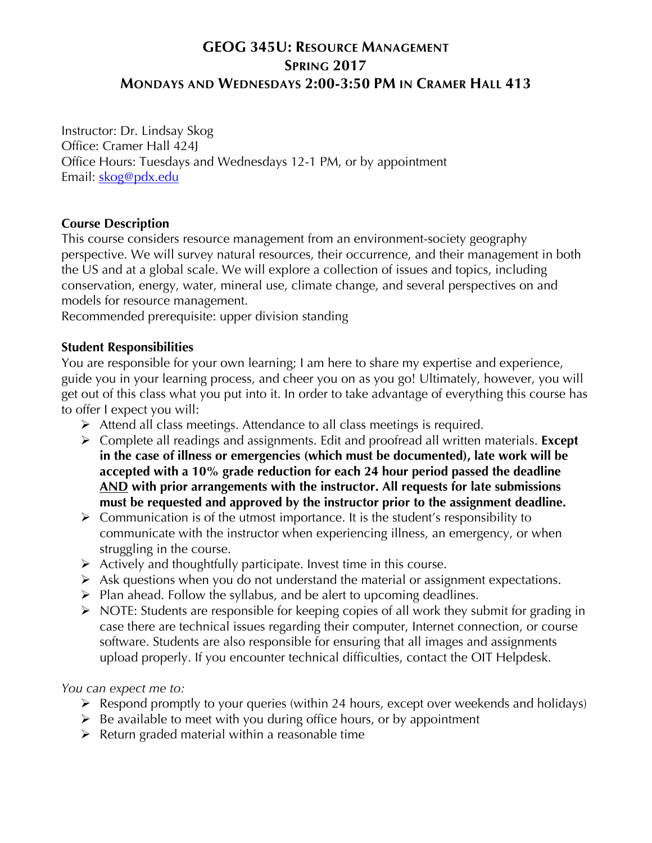# **GEOG 345U: RESOURCE MANAGEMENT SPRING 2017 MONDAYS AND WEDNESDAYS 2:00-3:50 PM IN CRAMER HALL 413**

Instructor: Dr. Lindsay Skog Office: Cramer Hall 424J Office Hours: Tuesdays and Wednesdays 12-1 PM, or by appointment Email: skog@pdx.edu

### **Course Description**

This course considers resource management from an environment-society geography perspective. We will survey natural resources, their occurrence, and their management in both the US and at a global scale. We will explore a collection of issues and topics, including conservation, energy, water, mineral use, climate change, and several perspectives on and models for resource management.

Recommended prerequisite: upper division standing

#### **Student Responsibilities**

You are responsible for your own learning; I am here to share my expertise and experience, guide you in your learning process, and cheer you on as you go! Ultimately, however, you will get out of this class what you put into it. In order to take advantage of everything this course has to offer I expect you will:

- $\triangleright$  Attend all class meetings. Attendance to all class meetings is required.
- ! Complete all readings and assignments. Edit and proofread all written materials. **Except in the case of illness or emergencies (which must be documented), late work will be accepted with a 10% grade reduction for each 24 hour period passed the deadline AND with prior arrangements with the instructor. All requests for late submissions must be requested and approved by the instructor prior to the assignment deadline.**
- $\triangleright$  Communication is of the utmost importance. It is the student's responsibility to communicate with the instructor when experiencing illness, an emergency, or when struggling in the course.
- $\triangleright$  Actively and thoughtfully participate. Invest time in this course.
- $\triangleright$  Ask questions when you do not understand the material or assignment expectations.
- $\triangleright$  Plan ahead. Follow the syllabus, and be alert to upcoming deadlines.
- $\triangleright$  NOTE: Students are responsible for keeping copies of all work they submit for grading in case there are technical issues regarding their computer, Internet connection, or course software. Students are also responsible for ensuring that all images and assignments upload properly. If you encounter technical difficulties, contact the OIT Helpdesk.

#### *You can expect me to:*

- $\triangleright$  Respond promptly to your queries (within 24 hours, except over weekends and holidays)
- $\triangleright$  Be available to meet with you during office hours, or by appointment
- $\triangleright$  Return graded material within a reasonable time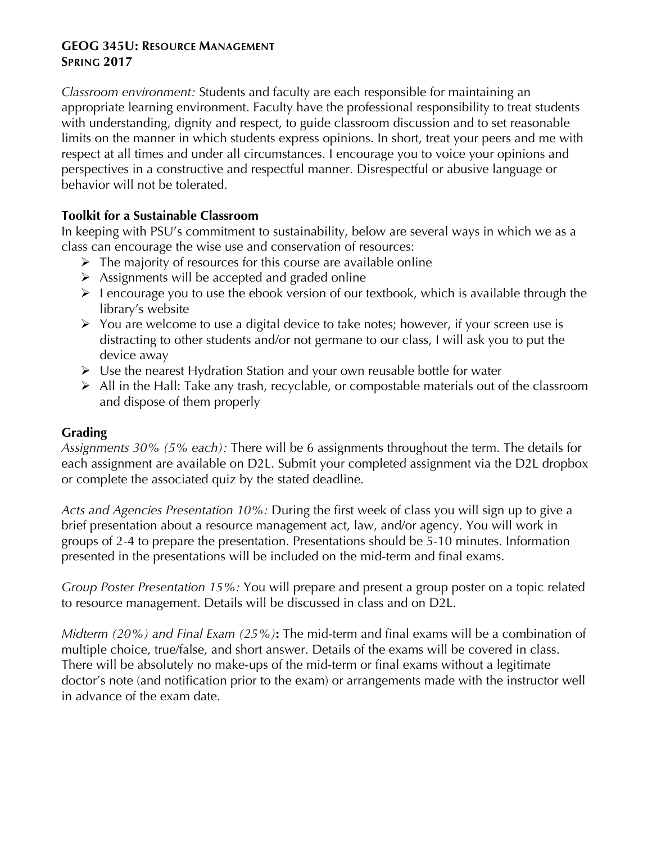### **GEOG 345U: RESOURCE MANAGEMENT SPRING 2017**

*Classroom environment:* Students and faculty are each responsible for maintaining an appropriate learning environment. Faculty have the professional responsibility to treat students with understanding, dignity and respect, to guide classroom discussion and to set reasonable limits on the manner in which students express opinions. In short, treat your peers and me with respect at all times and under all circumstances. I encourage you to voice your opinions and perspectives in a constructive and respectful manner. Disrespectful or abusive language or behavior will not be tolerated.

### **Toolkit for a Sustainable Classroom**

In keeping with PSU's commitment to sustainability, below are several ways in which we as a class can encourage the wise use and conservation of resources:

- $\triangleright$  The majority of resources for this course are available online
- $\triangleright$  Assignments will be accepted and graded online
- $\triangleright$  1 encourage you to use the ebook version of our textbook, which is available through the library's website
- $\triangleright$  You are welcome to use a digital device to take notes; however, if your screen use is distracting to other students and/or not germane to our class, I will ask you to put the device away
- $\triangleright$  Use the nearest Hydration Station and your own reusable bottle for water
- $\triangleright$  All in the Hall: Take any trash, recyclable, or compostable materials out of the classroom and dispose of them properly

## **Grading**

*Assignments 30% (5% each):* There will be 6 assignments throughout the term. The details for each assignment are available on D2L. Submit your completed assignment via the D2L dropbox or complete the associated quiz by the stated deadline.

*Acts and Agencies Presentation 10%:* During the first week of class you will sign up to give a brief presentation about a resource management act, law, and/or agency. You will work in groups of 2-4 to prepare the presentation. Presentations should be 5-10 minutes. Information presented in the presentations will be included on the mid-term and final exams.

*Group Poster Presentation 15%:* You will prepare and present a group poster on a topic related to resource management. Details will be discussed in class and on D2L.

*Midterm (20%) and Final Exam (25%)***:** The mid-term and final exams will be a combination of multiple choice, true/false, and short answer. Details of the exams will be covered in class. There will be absolutely no make-ups of the mid-term or final exams without a legitimate doctor's note (and notification prior to the exam) or arrangements made with the instructor well in advance of the exam date.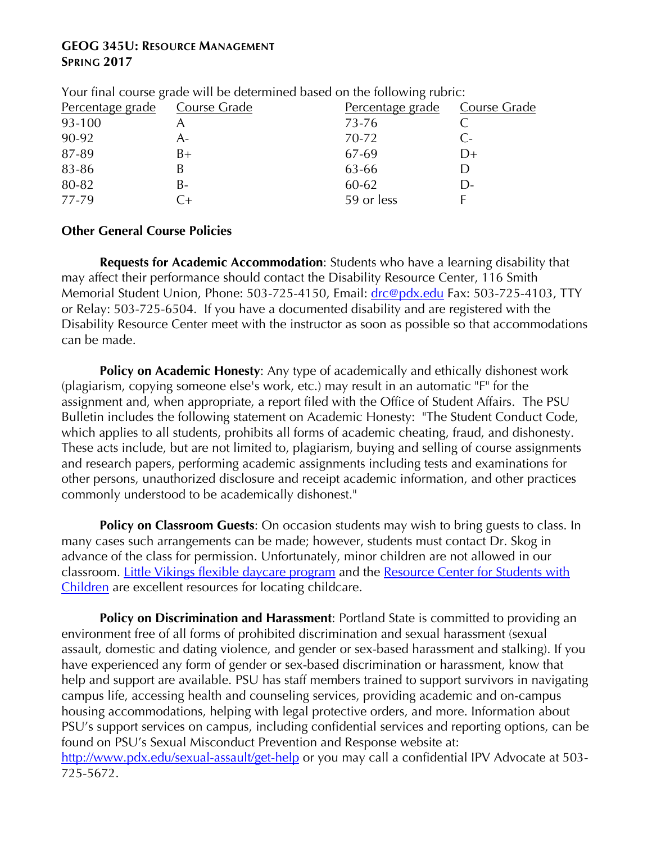### **GEOG 345U: RESOURCE MANAGEMENT SPRING 2017**

| Tour miar course grade will be actermined based on the following rubrie. |      |                               |              |  |
|--------------------------------------------------------------------------|------|-------------------------------|--------------|--|
| Percentage grade Course Grade                                            |      | Percentage grade Course Grade |              |  |
| 93-100                                                                   |      | 73-76                         |              |  |
| 90-92                                                                    | A-   | 70-72                         | C-           |  |
| 87-89                                                                    | $B+$ | 67-69                         | D+           |  |
| 83-86                                                                    |      | 63-66                         |              |  |
| 80-82                                                                    | B-   | 60-62                         | $\mathsf{D}$ |  |
| 77-79                                                                    | $+$  | 59 or less                    |              |  |
|                                                                          |      |                               |              |  |

Your final course grade will be determined based on the following rubric:

### **Other General Course Policies**

**Requests for Academic Accommodation**: Students who have a learning disability that may affect their performance should contact the Disability Resource Center, 116 Smith Memorial Student Union, Phone: 503-725-4150, Email: drc@pdx.edu Fax: 503-725-4103, TTY or Relay: 503-725-6504. If you have a documented disability and are registered with the Disability Resource Center meet with the instructor as soon as possible so that accommodations can be made.

**Policy on Academic Honesty:** Any type of academically and ethically dishonest work (plagiarism, copying someone else's work, etc.) may result in an automatic "F" for the assignment and, when appropriate, a report filed with the Office of Student Affairs. The PSU Bulletin includes the following statement on Academic Honesty: "The Student Conduct Code, which applies to all students, prohibits all forms of academic cheating, fraud, and dishonesty. These acts include, but are not limited to, plagiarism, buying and selling of course assignments and research papers, performing academic assignments including tests and examinations for other persons, unauthorized disclosure and receipt academic information, and other practices commonly understood to be academically dishonest."

**Policy on Classroom Guests:** On occasion students may wish to bring guests to class. In many cases such arrangements can be made; however, students must contact Dr. Skog in advance of the class for permission. Unfortunately, minor children are not allowed in our classroom. Little Vikings flexible daycare program and the Resource Center for Students with Children are excellent resources for locating childcare.

**Policy on Discrimination and Harassment**: Portland State is committed to providing an environment free of all forms of prohibited discrimination and sexual harassment (sexual assault, domestic and dating violence, and gender or sex-based harassment and stalking). If you have experienced any form of gender or sex-based discrimination or harassment, know that help and support are available. PSU has staff members trained to support survivors in navigating campus life, accessing health and counseling services, providing academic and on-campus housing accommodations, helping with legal protective orders, and more. Information about PSU's support services on campus, including confidential services and reporting options, can be found on PSU's Sexual Misconduct Prevention and Response website at: http://www.pdx.edu/sexual-assault/get-help or you may call a confidential IPV Advocate at 503-725-5672.